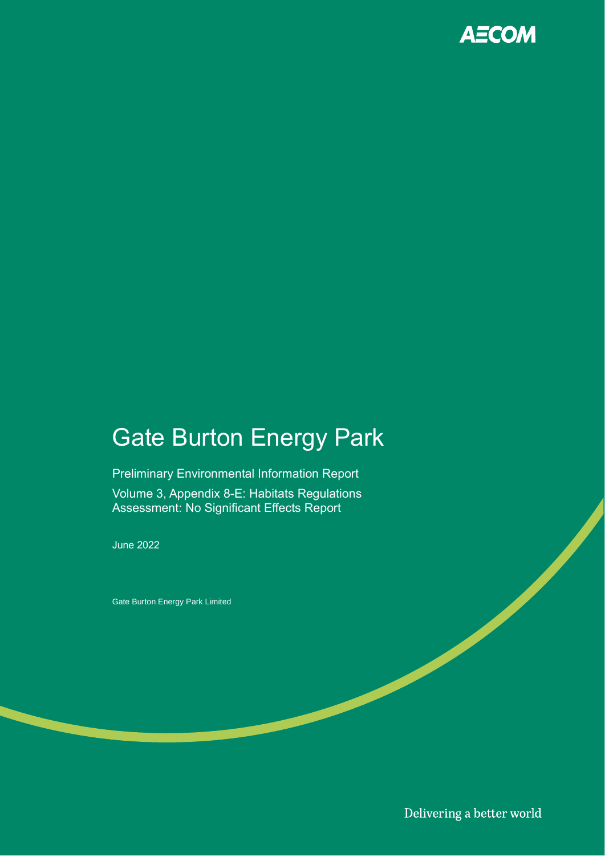

# Gate Burton Energy Park

Preliminary Environmental Information Report Volume 3, Appendix 8-E: Habitats Regulations Assessment: No Significant Effects Report

June 2022

Gate Burton Energy Park Limited

Delivering a better world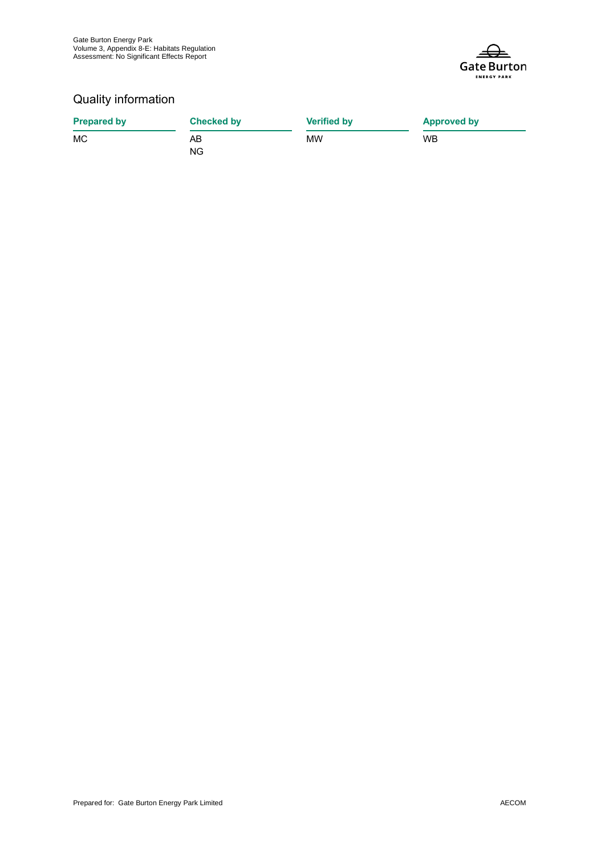

#### Quality information

| <b>Prepared by</b> | <b>Checked by</b> | <b>Verified by</b> | <b>Approved by</b> |
|--------------------|-------------------|--------------------|--------------------|
| MC                 | AΒ                | МW                 | <b>WB</b>          |
|                    | NG                |                    |                    |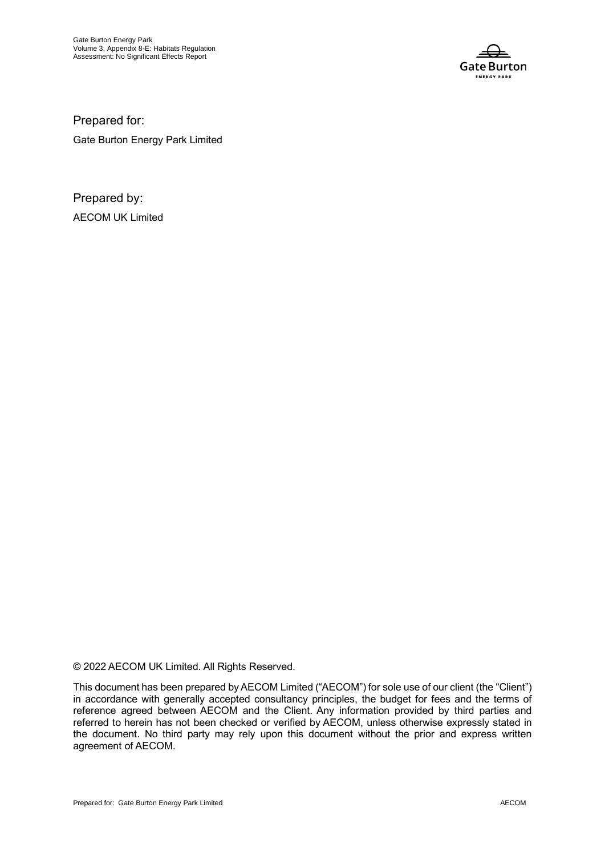

Prepared for: Gate Burton Energy Park Limited

Prepared by: AECOM UK Limited

© 2022 AECOM UK Limited. All Rights Reserved.

This document has been prepared by AECOM Limited ("AECOM") for sole use of our client (the "Client") in accordance with generally accepted consultancy principles, the budget for fees and the terms of reference agreed between AECOM and the Client. Any information provided by third parties and referred to herein has not been checked or verified by AECOM, unless otherwise expressly stated in the document. No third party may rely upon this document without the prior and express written agreement of AECOM.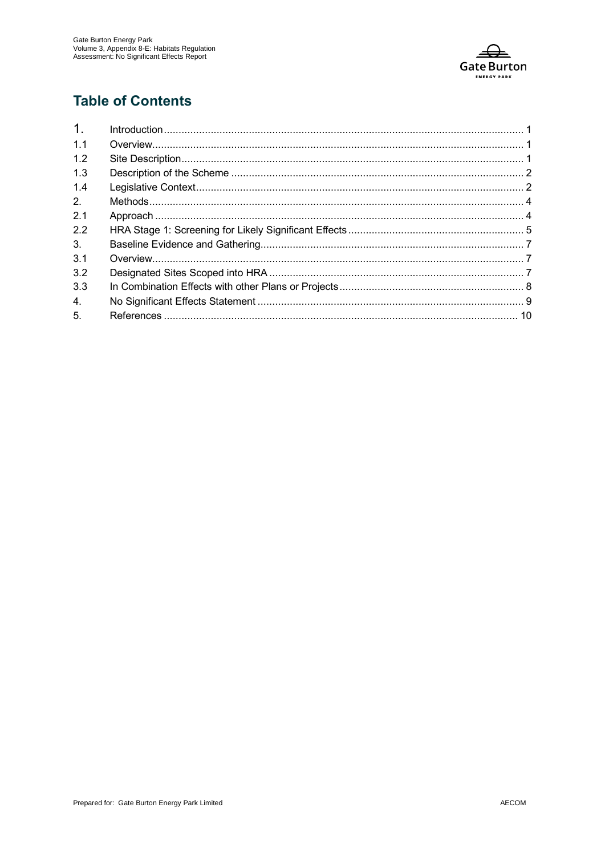

#### **Table of Contents**

| 1 <sub>1</sub> |  |
|----------------|--|
| 1.1            |  |
| 1.2            |  |
| 1.3            |  |
| 1.4            |  |
| 2.             |  |
| 2.1            |  |
| 2.2            |  |
| 3 <sub>1</sub> |  |
| 3.1            |  |
| 3.2            |  |
| 3.3            |  |
| 4.             |  |
| 5.             |  |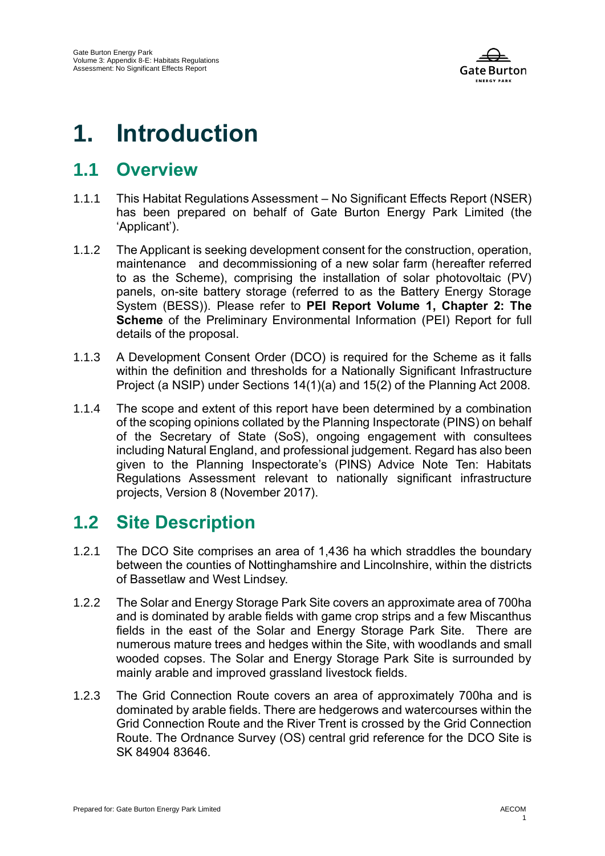

## **1. Introduction**

#### **1.1 Overview**

- 1.1.1 This Habitat Regulations Assessment No Significant Effects Report (NSER) has been prepared on behalf of Gate Burton Energy Park Limited (the 'Applicant').
- 1.1.2 The Applicant is seeking development consent for the construction, operation, maintenance and decommissioning of a new solar farm (hereafter referred to as the Scheme), comprising the installation of solar photovoltaic (PV) panels, on-site battery storage (referred to as the Battery Energy Storage System (BESS)). Please refer to **PEI Report Volume 1, Chapter 2: The Scheme** of the Preliminary Environmental Information (PEI) Report for full details of the proposal.
- 1.1.3 A Development Consent Order (DCO) is required for the Scheme as it falls within the definition and thresholds for a Nationally Significant Infrastructure Project (a NSIP) under Sections 14(1)(a) and 15(2) of the Planning Act 2008.
- 1.1.4 The scope and extent of this report have been determined by a combination of the scoping opinions collated by the Planning Inspectorate (PINS) on behalf of the Secretary of State (SoS), ongoing engagement with consultees including Natural England, and professional judgement. Regard has also been given to the Planning Inspectorate's (PINS) Advice Note Ten: Habitats Regulations Assessment relevant to nationally significant infrastructure projects, Version 8 (November 2017).

#### **1.2 Site Description**

- 1.2.1 The DCO Site comprises an area of 1,436 ha which straddles the boundary between the counties of Nottinghamshire and Lincolnshire, within the districts of Bassetlaw and West Lindsey.
- 1.2.2 The Solar and Energy Storage Park Site covers an approximate area of 700ha and is dominated by arable fields with game crop strips and a few Miscanthus fields in the east of the Solar and Energy Storage Park Site. There are numerous mature trees and hedges within the Site, with woodlands and small wooded copses. The Solar and Energy Storage Park Site is surrounded by mainly arable and improved grassland livestock fields.
- 1.2.3 The Grid Connection Route covers an area of approximately 700ha and is dominated by arable fields. There are hedgerows and watercourses within the Grid Connection Route and the River Trent is crossed by the Grid Connection Route. The Ordnance Survey (OS) central grid reference for the DCO Site is SK 84904 83646.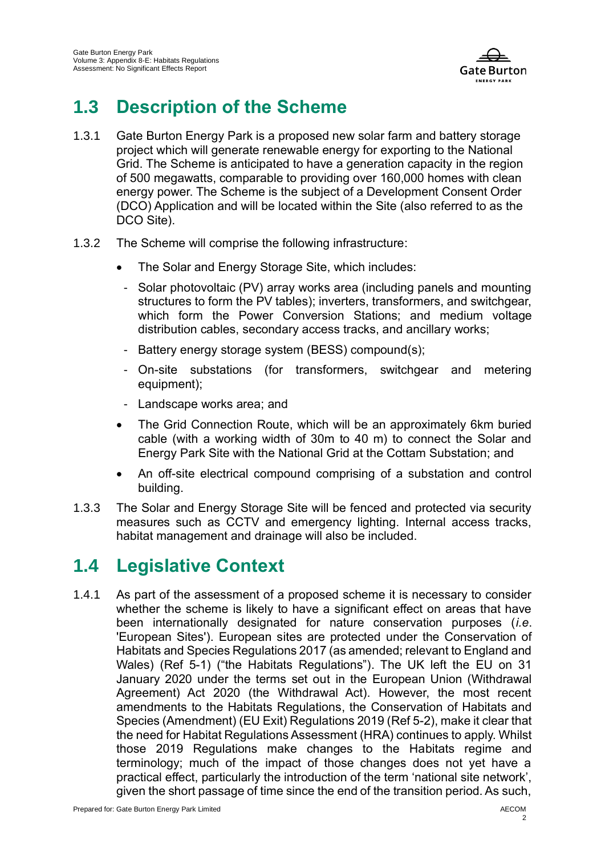

### **1.3 Description of the Scheme**

- 1.3.1 Gate Burton Energy Park is a proposed new solar farm and battery storage project which will generate renewable energy for exporting to the National Grid. The Scheme is anticipated to have a generation capacity in the region of 500 megawatts, comparable to providing over 160,000 homes with clean energy power. The Scheme is the subject of a Development Consent Order (DCO) Application and will be located within the Site (also referred to as the DCO Site).
- 1.3.2 The Scheme will comprise the following infrastructure:
	- The Solar and Energy Storage Site, which includes:
	- Solar photovoltaic (PV) array works area (including panels and mounting structures to form the PV tables); inverters, transformers, and switchgear, which form the Power Conversion Stations; and medium voltage distribution cables, secondary access tracks, and ancillary works;
	- Battery energy storage system (BESS) compound(s);
	- On-site substations (for transformers, switchgear and metering equipment);
	- Landscape works area; and
	- The Grid Connection Route, which will be an approximately 6km buried cable (with a working width of 30m to 40 m) to connect the Solar and Energy Park Site with the National Grid at the Cottam Substation; and
	- An off-site electrical compound comprising of a substation and control building.
- 1.3.3 The Solar and Energy Storage Site will be fenced and protected via security measures such as CCTV and emergency lighting. Internal access tracks, habitat management and drainage will also be included.

#### **1.4 Legislative Context**

1.4.1 As part of the assessment of a proposed scheme it is necessary to consider whether the scheme is likely to have a significant effect on areas that have been internationally designated for nature conservation purposes (*i.e*. 'European Sites'). European sites are protected under the Conservation of Habitats and Species Regulations 2017 (as amended; relevant to England and Wales) [\(Ref 5-1\)](#page-13-0) ("the Habitats Regulations"). The UK left the EU on 31 January 2020 under the terms set out in the European Union (Withdrawal Agreement) Act 2020 (the Withdrawal Act). However, the most recent amendments to the Habitats Regulations, the Conservation of Habitats and Species (Amendment) (EU Exit) Regulations 2019 [\(Ref 5-2\)](#page-13-1), make it clear that the need for Habitat Regulations Assessment (HRA) continues to apply. Whilst those 2019 Regulations make changes to the Habitats regime and terminology; much of the impact of those changes does not yet have a practical effect, particularly the introduction of the term 'national site network', given the short passage of time since the end of the transition period. As such,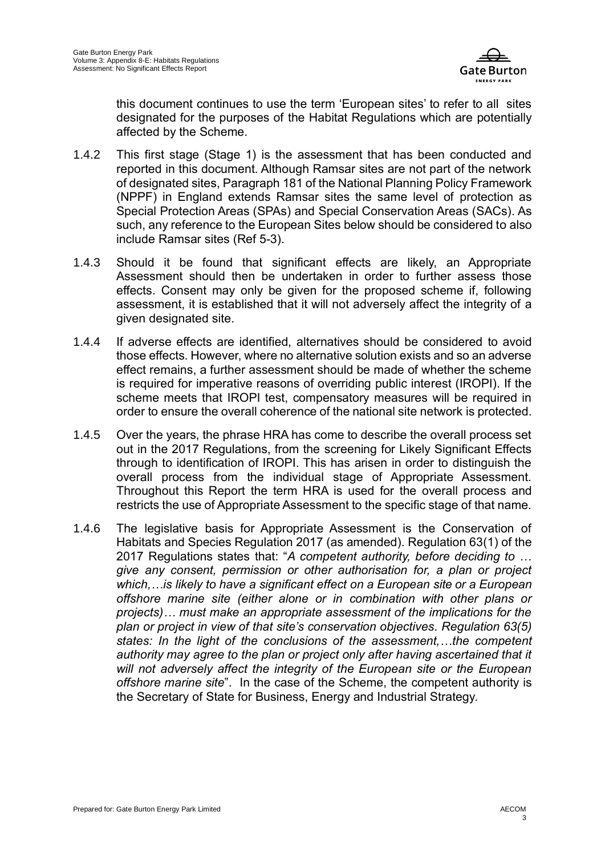

this document continues to use the term 'European sites' to refer to all sites designated for the purposes of the Habitat Regulations which are potentially affected by the Scheme.

- 1.4.2 This first stage (Stage 1) is the assessment that has been conducted and reported in this document. Although Ramsar sites are not part of the network of designated sites, Paragraph 181 of the National Planning Policy Framework (NPPF) in England extends Ramsar sites the same level of protection as Special Protection Areas (SPAs) and Special Conservation Areas (SACs). As such, any reference to the European Sites below should be considered to also include Ramsar sites [\(Ref 5-3\)](#page-13-2).
- 1.4.3 Should it be found that significant effects are likely, an Appropriate Assessment should then be undertaken in order to further assess those effects. Consent may only be given for the proposed scheme if, following assessment, it is established that it will not adversely affect the integrity of a given designated site.
- 1.4.4 If adverse effects are identified, alternatives should be considered to avoid those effects. However, where no alternative solution exists and so an adverse effect remains, a further assessment should be made of whether the scheme is required for imperative reasons of overriding public interest (IROPI). If the scheme meets that IROPI test, compensatory measures will be required in order to ensure the overall coherence of the national site network is protected.
- 1.4.5 Over the years, the phrase HRA has come to describe the overall process set out in the 2017 Regulations, from the screening for Likely Significant Effects through to identification of IROPI. This has arisen in order to distinguish the overall process from the individual stage of Appropriate Assessment. Throughout this Report the term HRA is used for the overall process and restricts the use of Appropriate Assessment to the specific stage of that name.
- 1.4.6 The legislative basis for Appropriate Assessment is the Conservation of Habitats and Species Regulation 2017 (as amended). Regulation 63(1) of the 2017 Regulations states that: "*A competent authority, before deciding to … give any consent, permission or other authorisation for, a plan or project which,…is likely to have a significant effect on a European site or a European offshore marine site (either alone or in combination with other plans or projects)… must make an appropriate assessment of the implications for the plan or project in view of that site's conservation objectives. Regulation 63(5) states: In the light of the conclusions of the assessment,…the competent*  authority may agree to the plan or project only after having ascertained that it *will not adversely affect the integrity of the European site or the European offshore marine site*". In the case of the Scheme, the competent authority is the Secretary of State for Business, Energy and Industrial Strategy.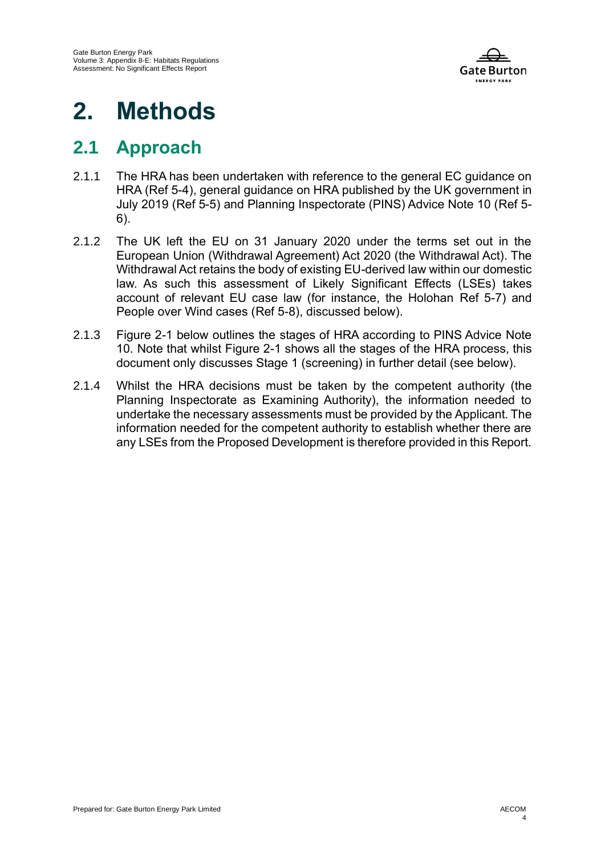

# **2. Methods**

#### **2.1 Approach**

- 2.1.1 The HRA has been undertaken with reference to the general EC guidance on HRA [\(Ref 5-4\)](#page-13-3), general guidance on HRA published by the UK government in July 2019 [\(Ref 5-5\)](#page-13-4) and Planning Inspectorate (PINS) Advice Note 10 [\(Ref 5-](#page-13-5) [6\)](#page-13-5).
- 2.1.2 The UK left the EU on 31 January 2020 under the terms set out in the European Union (Withdrawal Agreement) Act 2020 (the Withdrawal Act). The Withdrawal Act retains the body of existing EU-derived law within our domestic law. As such this assessment of Likely Significant Effects (LSEs) takes account of relevant EU case law (for instance, the Holohan [Ref 5-7\)](#page-13-6) and People over Wind cases [\(Ref 5-8\)](#page-13-7), discussed below).
- 2.1.3 Figure 2-1 below outlines the stages of HRA according to PINS Advice Note 10. Note that whilst Figure 2-1 shows all the stages of the HRA process, this document only discusses Stage 1 (screening) in further detail (see below).
- 2.1.4 Whilst the HRA decisions must be taken by the competent authority (the Planning Inspectorate as Examining Authority), the information needed to undertake the necessary assessments must be provided by the Applicant. The information needed for the competent authority to establish whether there are any LSEs from the Proposed Development is therefore provided in this Report.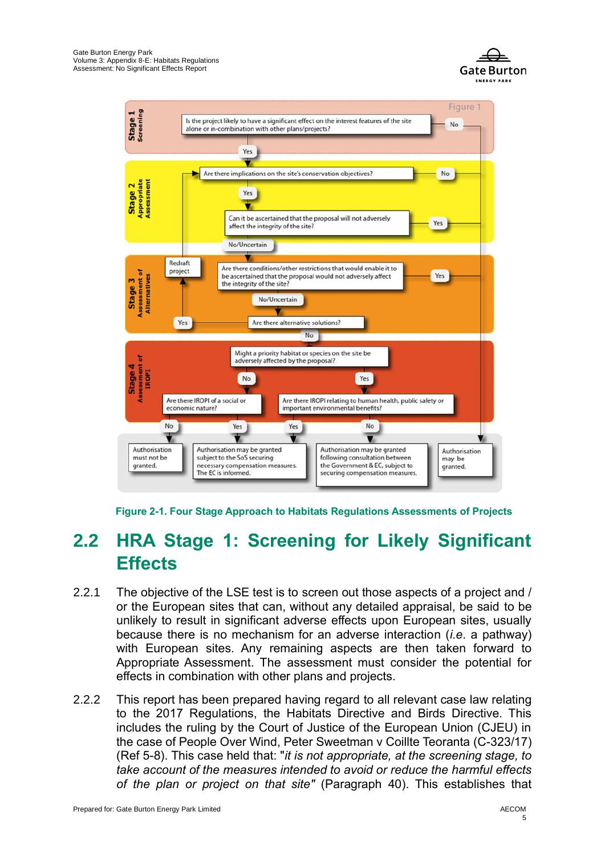





#### **2.2 HRA Stage 1: Screening for Likely Significant Effects**

- 2.2.1 The objective of the LSE test is to screen out those aspects of a project and / or the European sites that can, without any detailed appraisal, be said to be unlikely to result in significant adverse effects upon European sites, usually because there is no mechanism for an adverse interaction (*i.e*. a pathway) with European sites. Any remaining aspects are then taken forward to Appropriate Assessment. The assessment must consider the potential for effects in combination with other plans and projects.
- 2.2.2 This report has been prepared having regard to all relevant case law relating to the 2017 Regulations, the Habitats Directive and Birds Directive. This includes the ruling by the Court of Justice of the European Union (CJEU) in the case of People Over Wind, Peter Sweetman v Coillte Teoranta (C-323/17) [\(Ref 5-8\)](#page-13-7). This case held that: "*it is not appropriate, at the screening stage, to take account of the measures intended to avoid or reduce the harmful effects of the plan or project on that site"* (Paragraph 40). This establishes that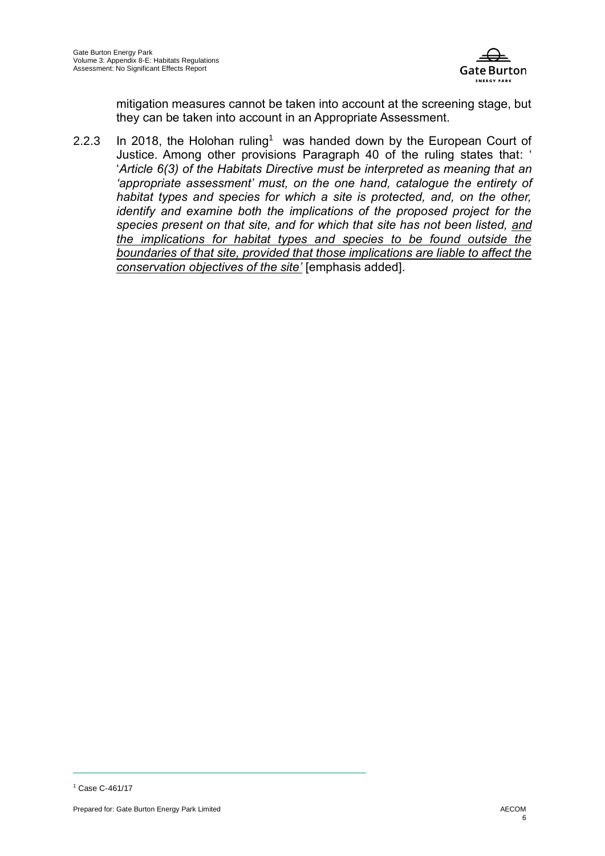

mitigation measures cannot be taken into account at the screening stage, but they can be taken into account in an Appropriate Assessment.

2.2.3 In 2018, the Holohan ruling<sup>1</sup> was handed down by the European Court of Justice. Among other provisions Paragraph 40 of the ruling states that: ' '*Article 6(3) of the Habitats Directive must be interpreted as meaning that an 'appropriate assessment' must, on the one hand, catalogue the entirety of habitat types and species for which a site is protected, and, on the other, identify and examine both the implications of the proposed project for the species present on that site, and for which that site has not been listed, and the implications for habitat types and species to be found outside the boundaries of that site, provided that those implications are liable to affect the conservation objectives of the site'* [emphasis added].

<sup>1</sup> Case C-461/17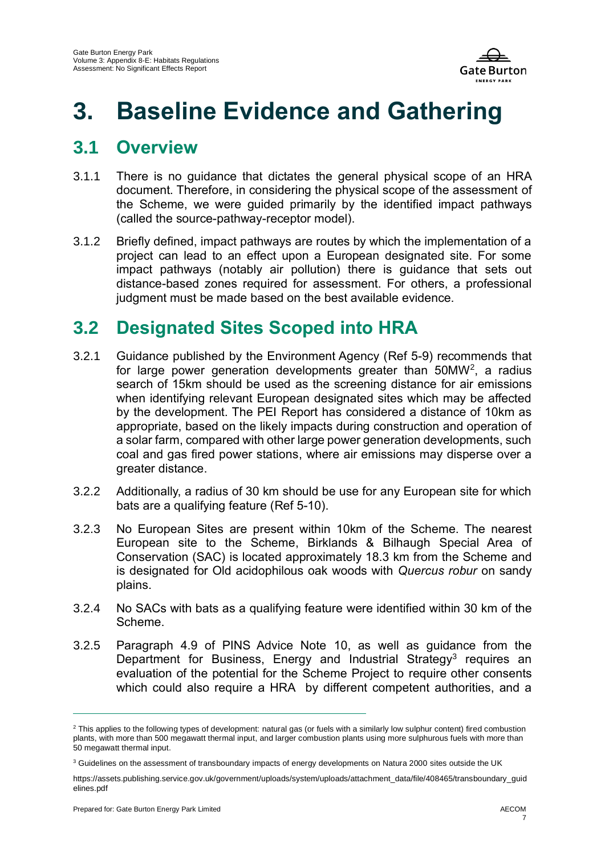

### **3. Baseline Evidence and Gathering**

#### **3.1 Overview**

- 3.1.1 There is no guidance that dictates the general physical scope of an HRA document. Therefore, in considering the physical scope of the assessment of the Scheme, we were guided primarily by the identified impact pathways (called the source-pathway-receptor model).
- 3.1.2 Briefly defined, impact pathways are routes by which the implementation of a project can lead to an effect upon a European designated site. For some impact pathways (notably air pollution) there is guidance that sets out distance-based zones required for assessment. For others, a professional judgment must be made based on the best available evidence.

#### **3.2 Designated Sites Scoped into HRA**

- 3.2.1 Guidance published by the Environment Agency [\(Ref 5-9\)](#page-13-8) recommends that for large power generation developments greater than 50MW<sup>2</sup>, a radius search of 15km should be used as the screening distance for air emissions when identifying relevant European designated sites which may be affected by the development. The PEI Report has considered a distance of 10km as appropriate, based on the likely impacts during construction and operation of a solar farm, compared with other large power generation developments, such coal and gas fired power stations, where air emissions may disperse over a greater distance.
- 3.2.2 Additionally, a radius of 30 km should be use for any European site for which bats are a qualifying feature [\(Ref 5-10\)](#page-13-9).
- 3.2.3 No European Sites are present within 10km of the Scheme. The nearest European site to the Scheme, Birklands & Bilhaugh Special Area of Conservation (SAC) is located approximately 18.3 km from the Scheme and is designated for Old acidophilous oak woods with *Quercus robur* on sandy plains.
- 3.2.4 No SACs with bats as a qualifying feature were identified within 30 km of the Scheme.
- 3.2.5 Paragraph 4.9 of PINS Advice Note 10, as well as guidance from the Department for Business, Energy and Industrial Strategy<sup>3</sup> requires an evaluation of the potential for the Scheme Project to require other consents which could also require a HRA by different competent authorities, and a

<sup>&</sup>lt;sup>2</sup> This applies to the following types of development: natural gas (or fuels with a similarly low sulphur content) fired combustion plants, with more than 500 megawatt thermal input, and larger combustion plants using more sulphurous fuels with more than 50 megawatt thermal input.

<sup>&</sup>lt;sup>3</sup> Guidelines on the assessment of transboundary impacts of energy developments on Natura 2000 sites outside the UK

https://assets.publishing.service.gov.uk/government/uploads/system/uploads/attachment\_data/file/408465/transboundary\_guid elines ndf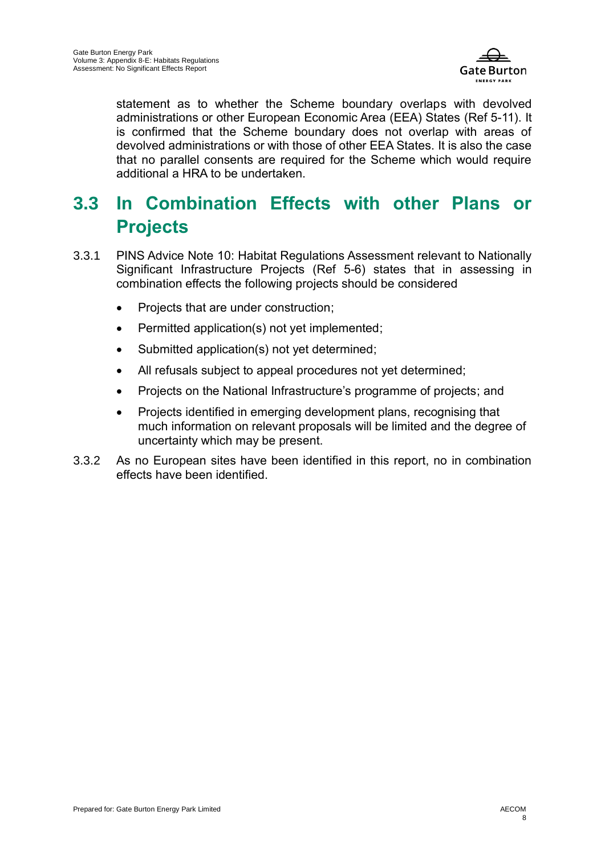

statement as to whether the Scheme boundary overlaps with devolved administrations or other European Economic Area (EEA) States [\(Ref 5-11\)](#page-13-10). It is confirmed that the Scheme boundary does not overlap with areas of devolved administrations or with those of other EEA States. It is also the case that no parallel consents are required for the Scheme which would require additional a HRA to be undertaken.

#### **3.3 In Combination Effects with other Plans or Projects**

- 3.3.1 PINS Advice Note 10: Habitat Regulations Assessment relevant to Nationally Significant Infrastructure Projects [\(Ref 5-6\)](#page-13-5) states that in assessing in combination effects the following projects should be considered
	- Projects that are under construction;
	- Permitted application(s) not yet implemented;
	- Submitted application(s) not yet determined;
	- All refusals subject to appeal procedures not yet determined;
	- Projects on the National Infrastructure's programme of projects; and
	- Projects identified in emerging development plans, recognising that much information on relevant proposals will be limited and the degree of uncertainty which may be present.
- 3.3.2 As no European sites have been identified in this report, no in combination effects have been identified.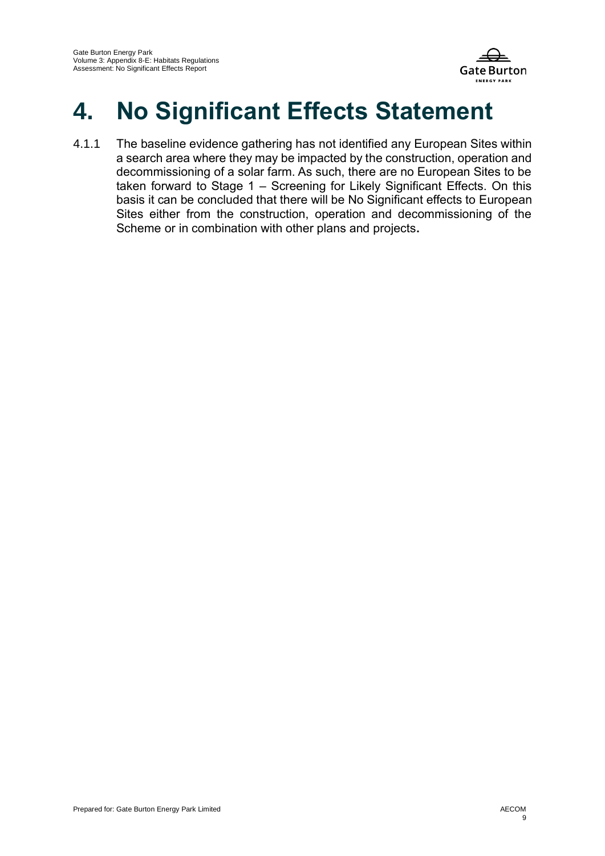

## **4. No Significant Effects Statement**

4.1.1 The baseline evidence gathering has not identified any European Sites within a search area where they may be impacted by the construction, operation and decommissioning of a solar farm. As such, there are no European Sites to be taken forward to Stage 1 – Screening for Likely Significant Effects. On this basis it can be concluded that there will be No Significant effects to European Sites either from the construction, operation and decommissioning of the Scheme or in combination with other plans and projects**.**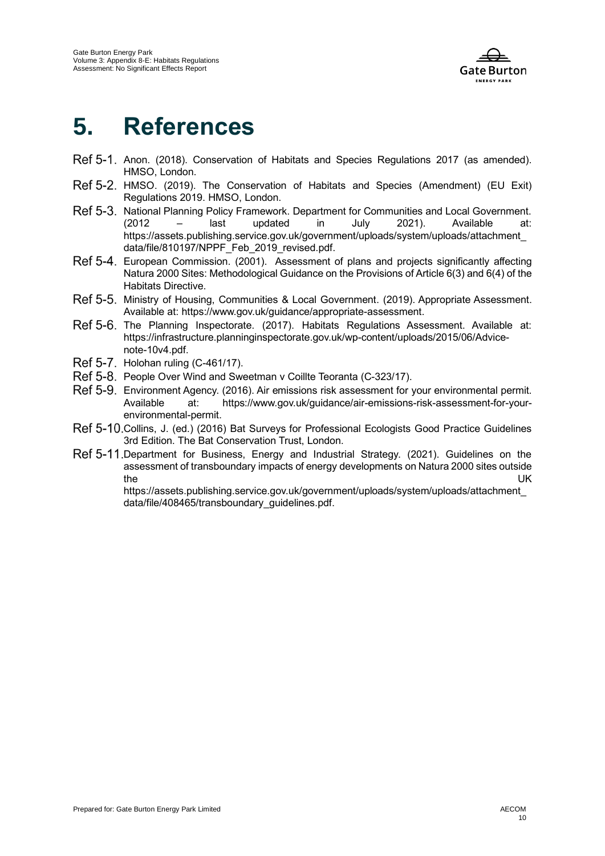

### **5. References**

- <span id="page-13-0"></span>Ref 5-1, Anon. (2018). Conservation of Habitats and Species Regulations 2017 (as amended). HMSO, London.
- <span id="page-13-1"></span>Ref 5-2. HMSO. (2019). The Conservation of Habitats and Species (Amendment) (EU Exit) Regulations 2019. HMSO, London.
- <span id="page-13-2"></span>Ref 5-3. National Planning Policy Framework. Department for Communities and Local Government. (2012 – last updated in July 2021). Available at: https://assets.publishing.service.gov.uk/government/uploads/system/uploads/attachment\_ data/file/810197/NPPF\_Feb\_2019\_revised.pdf.
- <span id="page-13-3"></span>Ref 5-4. European Commission. (2001). Assessment of plans and projects significantly affecting Natura 2000 Sites: Methodological Guidance on the Provisions of Article 6(3) and 6(4) of the Habitats Directive.
- <span id="page-13-4"></span>Ministry of Housing, Communities & Local Government. (2019). Appropriate Assessment. Available at: https://www.gov.uk/guidance/appropriate-assessment.
- <span id="page-13-5"></span>Ref 5-6. The Planning Inspectorate. (2017). Habitats Regulations Assessment. Available at: https://infrastructure.planninginspectorate.gov.uk/wp-content/uploads/2015/06/Advicenote-10v4.pdf.
- <span id="page-13-6"></span>Ref 5-7. Holohan ruling (C-461/17).
- <span id="page-13-7"></span>Ref 5-8. People Over Wind and Sweetman v Coillte Teoranta (C-323/17).
- <span id="page-13-8"></span>Ref 5-9. Environment Agency. (2016). Air emissions risk assessment for your environmental permit. Available at: https://www.gov.uk/guidance/air-emissions-risk-assessment-for-yourenvironmental-permit.
- <span id="page-13-9"></span>Ref 5-10. Collins, J. (ed.) (2016) Bat Surveys for Professional Ecologists Good Practice Guidelines 3rd Edition. The Bat Conservation Trust, London.
- <span id="page-13-10"></span>Ref 5-11. Department for Business, Energy and Industrial Strategy. (2021). Guidelines on the assessment of transboundary impacts of energy developments on Natura 2000 sites outside the UK

https://assets.publishing.service.gov.uk/government/uploads/system/uploads/attachment\_ data/file/408465/transboundary\_guidelines.pdf.